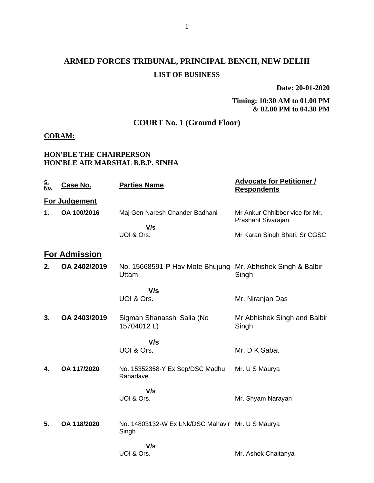## **ARMED FORCES TRIBUNAL, PRINCIPAL BENCH, NEW DELHI LIST OF BUSINESS**

**Date: 20-01-2020**

### **Timing: 10:30 AM to 01.00 PM & 02.00 PM to 04.30 PM**

### **COURT No. 1 (Ground Floor)**

### **CORAM:**

### **HON'BLE THE CHAIRPERSON HON'BLE AIR MARSHAL B.B.P. SINHA**

| <u>S.<br/>No.</u> | <b>Case No.</b>      | <b>Parties Name</b>                                       | <b>Advocate for Petitioner /</b><br><b>Respondents</b> |
|-------------------|----------------------|-----------------------------------------------------------|--------------------------------------------------------|
|                   | For Judgement        |                                                           |                                                        |
| 1.                | OA 100/2016          | Maj Gen Naresh Chander Badhani                            | Mr Ankur Chhibber vice for Mr.<br>Prashant Sivarajan   |
|                   |                      | V/s<br>UOI & Ors.                                         | Mr Karan Singh Bhati, Sr CGSC                          |
|                   | <b>For Admission</b> |                                                           |                                                        |
| 2.                | OA 2402/2019         | No. 15668591-P Hav Mote Bhujung<br>Uttam                  | Mr. Abhishek Singh & Balbir<br>Singh                   |
|                   |                      | V/s                                                       |                                                        |
|                   |                      | UOI & Ors.                                                | Mr. Niranjan Das                                       |
| 3.                | OA 2403/2019         | Sigman Shanasshi Salia (No<br>15704012L)                  | Mr Abhishek Singh and Balbir<br>Singh                  |
|                   |                      | V/s                                                       |                                                        |
|                   |                      | UOI & Ors.                                                | Mr. D K Sabat                                          |
| 4.                | OA 117/2020          | No. 15352358-Y Ex Sep/DSC Madhu<br>Rahadave               | Mr. U S Maurya                                         |
|                   |                      | V/s                                                       |                                                        |
|                   |                      | UOI & Ors.                                                | Mr. Shyam Narayan                                      |
| 5.                | OA 118/2020          | No. 14803132-W Ex LNk/DSC Mahavir Mr. U S Maurya<br>Singh |                                                        |
|                   |                      | V/s                                                       |                                                        |
|                   |                      | UOI & Ors.                                                | Mr. Ashok Chaitanya                                    |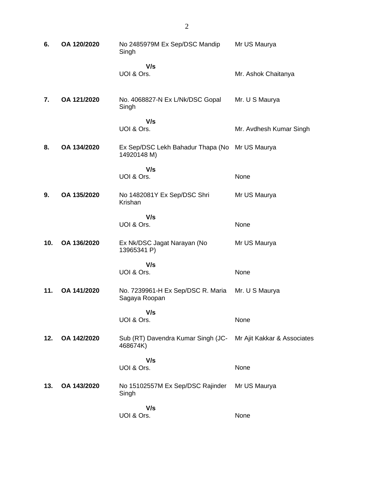| 6.  | OA 120/2020 | No 2485979M Ex Sep/DSC Mandip<br>Singh                        | Mr US Maurya                |
|-----|-------------|---------------------------------------------------------------|-----------------------------|
|     |             | V/s                                                           |                             |
|     |             | UOI & Ors.                                                    | Mr. Ashok Chaitanya         |
| 7.  | OA 121/2020 | No. 4068827-N Ex L/Nk/DSC Gopal<br>Singh                      | Mr. U S Maurya              |
|     |             | V/s<br>UOI & Ors.                                             | Mr. Avdhesh Kumar Singh     |
| 8.  | OA 134/2020 | Ex Sep/DSC Lekh Bahadur Thapa (No Mr US Maurya<br>14920148 M) |                             |
|     |             | V/s<br>UOI & Ors.                                             | None                        |
| 9.  | OA 135/2020 | No 1482081Y Ex Sep/DSC Shri<br>Krishan                        | Mr US Maurya                |
|     |             | V/s<br>UOI & Ors.                                             | None                        |
| 10. | OA 136/2020 | Ex Nk/DSC Jagat Narayan (No<br>13965341 P)                    | Mr US Maurya                |
|     |             | V/s<br>UOI & Ors.                                             | None                        |
| 11. | OA 141/2020 | No. 7239961-H Ex Sep/DSC R. Maria<br>Sagaya Roopan            | Mr. U S Maurya              |
|     |             | V/s<br>UOI & Ors.                                             | None                        |
| 12. | OA 142/2020 | Sub (RT) Davendra Kumar Singh (JC-<br>468674K)                | Mr Ajit Kakkar & Associates |
|     |             | V/s<br>UOI & Ors.                                             | None                        |
| 13. | OA 143/2020 | No 15102557M Ex Sep/DSC Rajinder<br>Singh                     | Mr US Maurya                |
|     |             | V/s<br>UOI & Ors.                                             | None                        |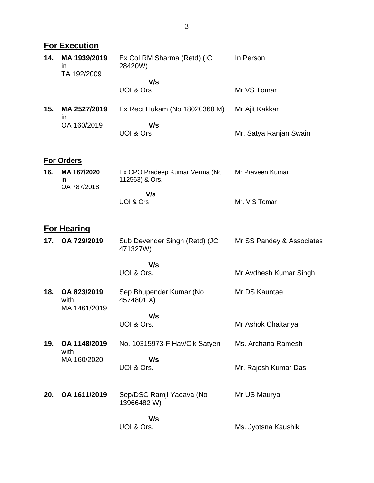|     | <b>For Execution</b>                                   |                                                  |                           |
|-----|--------------------------------------------------------|--------------------------------------------------|---------------------------|
| 14. | MA 1939/2019<br>$\overline{\mathsf{I}}$<br>TA 192/2009 | Ex Col RM Sharma (Retd) (IC<br>28420W)           | In Person                 |
|     |                                                        | V/s<br><b>UOI &amp; Ors</b>                      | Mr VS Tomar               |
| 15. | MA 2527/2019<br>ın                                     | Ex Rect Hukam (No 18020360 M)                    | Mr Ajit Kakkar            |
|     | OA 160/2019                                            | V/s<br><b>UOI &amp; Ors</b>                      | Mr. Satya Ranjan Swain    |
|     | <b>For Orders</b>                                      |                                                  |                           |
| 16. | MA 167/2020<br>in<br>OA 787/2018                       | Ex CPO Pradeep Kumar Verma (No<br>112563) & Ors. | Mr Praveen Kumar          |
|     |                                                        | V/s<br>UOI & Ors                                 | Mr. V S Tomar             |
|     | <b>For Hearing</b>                                     |                                                  |                           |
| 17. | OA 729/2019                                            | Sub Devender Singh (Retd) (JC<br>471327W)        | Mr SS Pandey & Associates |
|     |                                                        | V/s<br>UOI & Ors.                                | Mr Avdhesh Kumar Singh    |
| 18. | OA 823/2019<br>with<br>MA 1461/2019                    | Sep Bhupender Kumar (No<br>4574801 X)            | Mr DS Kauntae             |
|     |                                                        | V/s<br>UOI & Ors.                                | Mr Ashok Chaitanya        |
| 19. | OA 1148/2019<br>with                                   | No. 10315973-F Hav/Clk Satyen                    | Ms. Archana Ramesh        |
|     | MA 160/2020                                            | V/s<br>UOI & Ors.                                | Mr. Rajesh Kumar Das      |
| 20. | OA 1611/2019                                           | Sep/DSC Ramji Yadava (No<br>13966482 W)          | Mr US Maurya              |
|     |                                                        | V/s<br>UOI & Ors.                                | Ms. Jyotsna Kaushik       |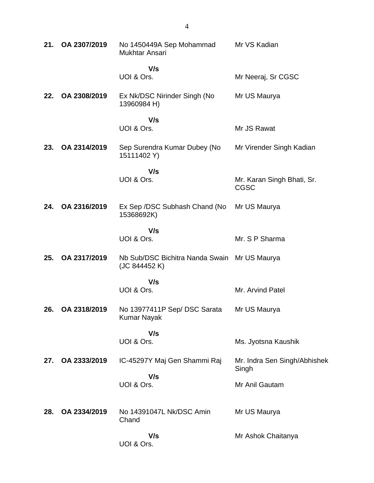| 21. | OA 2307/2019 | No 1450449A Sep Mohammad<br>Mukhtar Ansari                    | Mr VS Kadian                              |
|-----|--------------|---------------------------------------------------------------|-------------------------------------------|
|     |              | V/s<br>UOI & Ors.                                             | Mr Neeraj, Sr CGSC                        |
| 22. | OA 2308/2019 | Ex Nk/DSC Nirinder Singh (No<br>13960984 H)                   | Mr US Maurya                              |
|     |              | V/s<br>UOI & Ors.                                             | Mr JS Rawat                               |
| 23. | OA 2314/2019 | Sep Surendra Kumar Dubey (No<br>15111402 Y)                   | Mr Virender Singh Kadian                  |
|     |              | V/s<br>UOI & Ors.                                             | Mr. Karan Singh Bhati, Sr.<br><b>CGSC</b> |
| 24. | OA 2316/2019 | Ex Sep /DSC Subhash Chand (No<br>15368692K)                   | Mr US Maurya                              |
|     |              | V/s<br>UOI & Ors.                                             | Mr. S P Sharma                            |
| 25. | OA 2317/2019 | Nb Sub/DSC Bichitra Nanda Swain Mr US Maurya<br>(JC 844452 K) |                                           |
|     |              | V/s<br>UOI & Ors.                                             | Mr. Arvind Patel                          |
| 26. | OA 2318/2019 | No 13977411P Sep/DSC Sarata<br><b>Kumar Nayak</b>             | Mr US Maurya                              |
|     |              | V/s<br>UOI & Ors.                                             | Ms. Jyotsna Kaushik                       |
| 27. | OA 2333/2019 | IC-45297Y Maj Gen Shammi Raj                                  | Mr. Indra Sen Singh/Abhishek<br>Singh     |
|     |              | V/s<br>UOI & Ors.                                             | Mr Anil Gautam                            |
| 28. | OA 2334/2019 | No 14391047L Nk/DSC Amin<br>Chand                             | Mr US Maurya                              |
|     |              | V/s<br>UOI & Ors.                                             | Mr Ashok Chaitanya                        |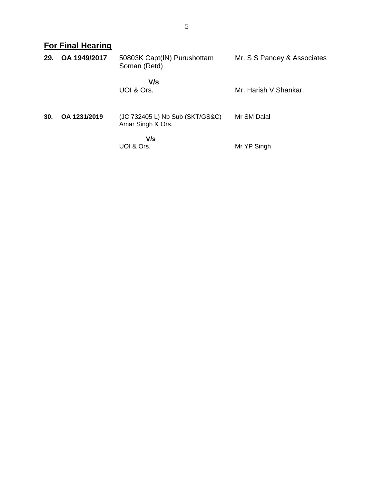**For Final Hearing**

| 29. | OA 1949/2017 | 50803K Capt(IN) Purushottam<br>Soman (Retd)          | Mr. S S Pandey & Associates |
|-----|--------------|------------------------------------------------------|-----------------------------|
|     |              | V/s<br>UOI & Ors.                                    | Mr. Harish V Shankar.       |
| 30. | OA 1231/2019 | (JC 732405 L) Nb Sub (SKT/GS&C)<br>Amar Singh & Ors. | Mr SM Dalal                 |
|     |              | V/s<br>UOI & Ors.                                    | Mr YP Singh                 |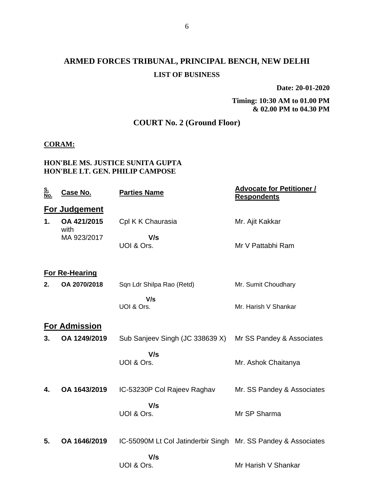## **ARMED FORCES TRIBUNAL, PRINCIPAL BENCH, NEW DELHI LIST OF BUSINESS**

**Date: 20-01-2020**

**Timing: 10:30 AM to 01.00 PM & 02.00 PM to 04.30 PM**

### **COURT No. 2 (Ground Floor)**

### **CORAM:**

### **HON'BLE MS. JUSTICE SUNITA GUPTA HON'BLE LT. GEN. PHILIP CAMPOSE**

| <u>S.<br/>No.</u> | Case No.              | <b>Parties Name</b>                                                  | <u><b>Advocate for Petitioner /</b></u><br><b>Respondents</b> |
|-------------------|-----------------------|----------------------------------------------------------------------|---------------------------------------------------------------|
|                   | <b>For Judgement</b>  |                                                                      |                                                               |
| 1.                | OA 421/2015<br>with   | Cpl K K Chaurasia                                                    | Mr. Ajit Kakkar                                               |
|                   | MA 923/2017           | V/s<br>UOI & Ors.                                                    | Mr V Pattabhi Ram                                             |
|                   | <b>For Re-Hearing</b> |                                                                      |                                                               |
| 2.                | OA 2070/2018          | Sqn Ldr Shilpa Rao (Retd)                                            | Mr. Sumit Choudhary                                           |
|                   |                       | V/s<br>UOI & Ors.                                                    | Mr. Harish V Shankar                                          |
|                   | <b>For Admission</b>  |                                                                      |                                                               |
| 3.                | OA 1249/2019          | Sub Sanjeev Singh (JC 338639 X)                                      | Mr SS Pandey & Associates                                     |
|                   |                       | V/s<br>UOI & Ors.                                                    | Mr. Ashok Chaitanya                                           |
| 4.                | OA 1643/2019          | IC-53230P Col Rajeev Raghav                                          | Mr. SS Pandey & Associates                                    |
|                   |                       | V/s<br>UOI & Ors.                                                    | Mr SP Sharma                                                  |
| 5.                | OA 1646/2019          | IC-55090M Lt Col Jatinderbir Singh Mr. SS Pandey & Associates<br>V/s |                                                               |
|                   |                       | UOI & Ors.                                                           | Mr Harish V Shankar                                           |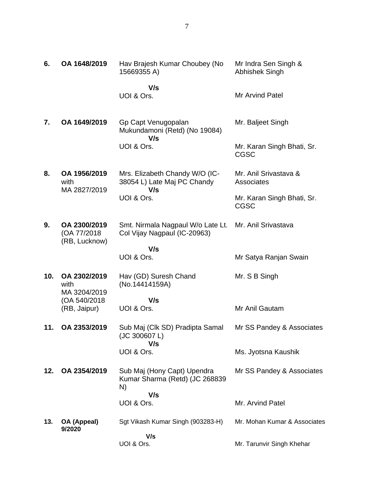| 6.  | OA 1648/2019                         | Hav Brajesh Kumar Choubey (No<br>15669355 A)                         | Mr Indra Sen Singh &<br>Abhishek Singh    |
|-----|--------------------------------------|----------------------------------------------------------------------|-------------------------------------------|
|     |                                      | V/s<br>UOI & Ors.                                                    | Mr Arvind Patel                           |
| 7.  | OA 1649/2019                         | Gp Capt Venugopalan<br>Mukundamoni (Retd) (No 19084)                 | Mr. Baljeet Singh                         |
|     |                                      | V/s<br>UOI & Ors.                                                    | Mr. Karan Singh Bhati, Sr.<br><b>CGSC</b> |
| 8.  | OA 1956/2019<br>with<br>MA 2827/2019 | Mrs. Elizabeth Chandy W/O (IC-<br>38054 L) Late Maj PC Chandy<br>V/s | Mr. Anil Srivastava &<br>Associates       |
|     |                                      | UOI & Ors.                                                           | Mr. Karan Singh Bhati, Sr.<br><b>CGSC</b> |
| 9.  | OA 2300/2019<br>(OA 77/2018)         | Smt. Nirmala Nagpaul W/o Late Lt.<br>Col Vijay Nagpaul (IC-20963)    | Mr. Anil Srivastava                       |
|     | (RB, Lucknow)                        | V/s<br>UOI & Ors.                                                    | Mr Satya Ranjan Swain                     |
| 10. | OA 2302/2019<br>with<br>MA 3204/2019 | Hav (GD) Suresh Chand<br>(No.14414159A)                              | Mr. S B Singh                             |
|     | (OA 540/2018<br>(RB, Jaipur)         | V/s<br>UOI & Ors.                                                    | Mr Anil Gautam                            |
| 11. | OA 2353/2019                         | Sub Maj (Clk SD) Pradipta Samal<br>(JC 300607 L)<br>V/s              | Mr SS Pandey & Associates                 |
|     |                                      | UOI & Ors.                                                           | Ms. Jyotsna Kaushik                       |
| 12. | OA 2354/2019                         | Sub Maj (Hony Capt) Upendra<br>Kumar Sharma (Retd) (JC 268839<br>N)  | Mr SS Pandey & Associates                 |
|     |                                      | V/s<br>UOI & Ors.                                                    | Mr. Arvind Patel                          |
| 13. | OA (Appeal)<br>9/2020                | Sgt Vikash Kumar Singh (903283-H)                                    | Mr. Mohan Kumar & Associates              |
|     |                                      | V/s<br>UOI & Ors.                                                    | Mr. Tarunvir Singh Khehar                 |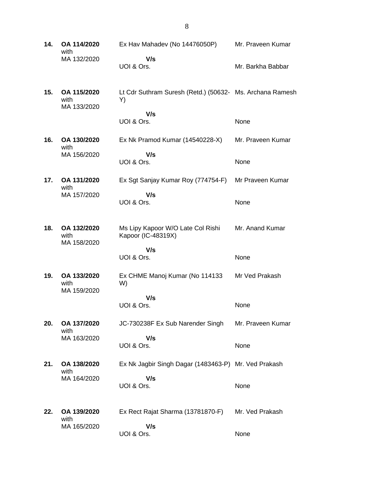**14. OA 114/2020** with MA 132/2020 Ex Hav Mahadev (No 14476050P)  **V/s** UOI & Ors. Mr. Praveen Kumar Mr. Barkha Babbar **15. OA 115/2020** with MA 133/2020 Lt Cdr Suthram Suresh (Retd.) (50632- Ms. Archana Ramesh Y)  **V/s** UOI & Ors. None **16. OA 130/2020** with MA 156/2020 Ex Nk Pramod Kumar (14540228-X)  **V/s** UOI & Ors. Mr. Praveen Kumar None **17. OA 131/2020** with MA 157/2020 Ex Sgt Sanjay Kumar Roy (774754-F)  **V/s** UOI & Ors. Mr Praveen Kumar None **18. OA 132/2020** with MA 158/2020 Ms Lipy Kapoor W/O Late Col Rishi Kapoor (IC-48319X)  **V/s** UOI & Ors. Mr. Anand Kumar None **19. OA 133/2020** with MA 159/2020 Ex CHME Manoj Kumar (No 114133 W)  **V/s** UOI & Ors. Mr Ved Prakash None **20. OA 137/2020** with MA 163/2020 JC-730238F Ex Sub Narender Singh  **V/s** UOI & Ors. Mr. Praveen Kumar None **21. OA 138/2020** with MA 164/2020 Ex Nk Jagbir Singh Dagar (1483463-P) Mr. Ved Prakash  **V/s** UOI & Ors. None **22. OA 139/2020** with MA 165/2020 Ex Rect Rajat Sharma (13781870-F)  **V/s** UOI & Ors. Mr. Ved Prakash None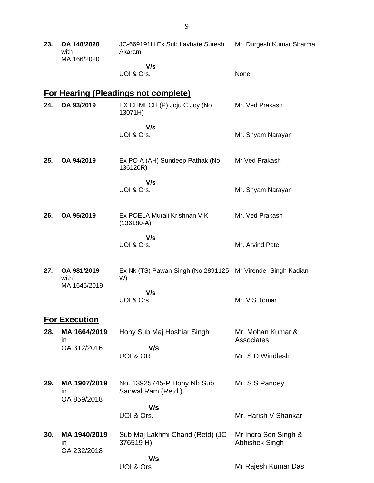| 23. | OA 140/2020<br>with<br>MA 166/2020 | JC-669191H Ex Sub Lavhate Suresh<br>Akaram                        | Mr. Durgesh Kumar Sharma               |
|-----|------------------------------------|-------------------------------------------------------------------|----------------------------------------|
|     |                                    | V/s<br>UOI & Ors.                                                 | None                                   |
|     |                                    | <b>For Hearing (Pleadings not complete)</b>                       |                                        |
| 24. | OA 93/2019                         | EX CHMECH (P) Joju C Joy (No<br>13071H)                           | Mr. Ved Prakash                        |
|     |                                    | V/s<br>UOI & Ors.                                                 | Mr. Shyam Narayan                      |
| 25. | OA 94/2019                         | Ex PO A (AH) Sundeep Pathak (No<br>136120R)                       | Mr Ved Prakash                         |
|     |                                    | V/s<br>UOI & Ors.                                                 | Mr. Shyam Narayan                      |
| 26. | OA 95/2019                         | Ex POELA Murali Krishnan V K<br>$(136180-A)$                      | Mr. Ved Prakash                        |
|     |                                    | V/s<br>UOI & Ors.                                                 | Mr. Arvind Patel                       |
| 27. | OA 981/2019<br>with                | Ex Nk (TS) Pawan Singh (No 2891125 Mr Virender Singh Kadian<br>W) |                                        |
|     | MA 1645/2019                       | V/s<br>UOI & Ors.                                                 | Mr. V S Tomar                          |
|     | <b>For Execution</b>               |                                                                   |                                        |
| 28. | MA 1664/2019<br>$\mathsf{In}$      | Hony Sub Maj Hoshiar Singh                                        | Mr. Mohan Kumar &<br>Associates        |
|     | OA 312/2016                        | V/s<br>UOI & OR                                                   | Mr. S D Windlesh                       |
| 29. | MA 1907/2019<br>ın<br>OA 859/2018  | No. 13925745-P Hony Nb Sub<br>Sanwal Ram (Retd.)                  | Mr. S S Pandey                         |
|     |                                    | V/s<br>UOI & Ors.                                                 | Mr. Harish V Shankar                   |
| 30. | MA 1940/2019<br>ın<br>OA 232/2018  | Sub Maj Lakhmi Chand (Retd) (JC<br>376519 H)                      | Mr Indra Sen Singh &<br>Abhishek Singh |
|     |                                    | V/s<br>UOI & Ors                                                  | Mr Rajesh Kumar Das                    |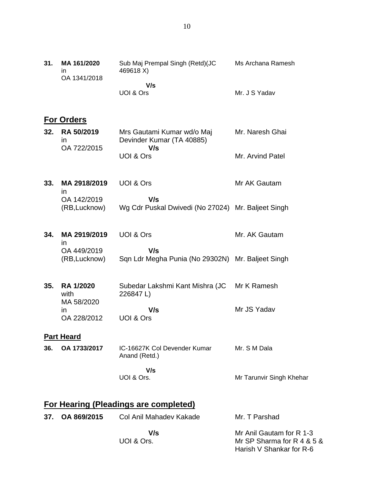| 31. | MA 161/2020<br>in<br>OA 1341/2018 | Sub Maj Prempal Singh (Retd)(JC<br>469618 X)              | Ms Archana Ramesh        |
|-----|-----------------------------------|-----------------------------------------------------------|--------------------------|
|     |                                   | V/s<br>UOI & Ors                                          | Mr. J S Yadav            |
|     | <b>For Orders</b>                 |                                                           |                          |
| 32. | RA 50/2019<br>$\mathsf{I}$        | Mrs Gautami Kumar wd/o Maj<br>Devinder Kumar (TA 40885)   | Mr. Naresh Ghai          |
|     | OA 722/2015                       | V/s<br><b>UOI &amp; Ors</b>                               | Mr. Arvind Patel         |
| 33. | MA 2918/2019<br>$\mathsf{I}$      | UOI & Ors                                                 | Mr AK Gautam             |
|     | OA 142/2019<br>(RB, Lucknow)      | V/s<br>Wg Cdr Puskal Dwivedi (No 27024) Mr. Baljeet Singh |                          |
| 34. | MA 2919/2019<br>ın                | UOI & Ors                                                 | Mr. AK Gautam            |
|     | OA 449/2019<br>(RB, Lucknow)      | V/s<br>Sqn Ldr Megha Punia (No 29302N) Mr. Baljeet Singh  |                          |
| 35. | <b>RA 1/2020</b><br>with          | Subedar Lakshmi Kant Mishra (JC<br>226847L)               | Mr K Ramesh              |
|     | MA 58/2020<br>ın<br>OA 228/2012   | V/s<br>UOI & Ors                                          | Mr JS Yadav              |
|     | <b>Part Heard</b>                 |                                                           |                          |
| 36. | OA 1733/2017                      | IC-16627K Col Devender Kumar<br>Anand (Retd.)             | Mr. S M Dala             |
|     |                                   | V/s<br>UOI & Ors.                                         | Mr Tarunvir Singh Khehar |
|     |                                   | <b>For Hearing (Pleadings are completed)</b>              |                          |

| 37. OA 869/2015 | Col Anil Mahadev Kakade | Mr. T Parshad              |
|-----------------|-------------------------|----------------------------|
|                 | V/s                     | Mr Anil Gautam for R 1-3   |
|                 | UOI & Ors.              | Mr SP Sharma for R 4 & 5 & |
|                 |                         | Harish V Shankar for R-6   |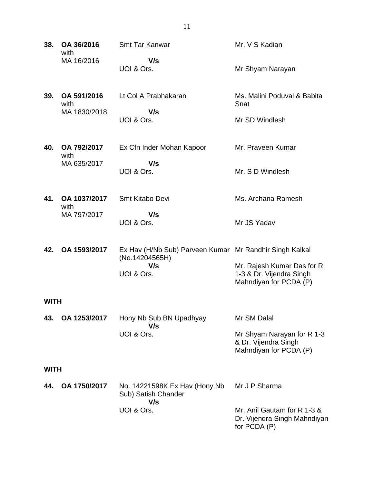| 38.         | OA 36/2016<br>with                  | <b>Smt Tar Kanwar</b>                                                     | Mr. V S Kadian                                                                   |
|-------------|-------------------------------------|---------------------------------------------------------------------------|----------------------------------------------------------------------------------|
|             | MA 16/2016                          | V/s<br>UOI & Ors.                                                         | Mr Shyam Narayan                                                                 |
| 39.         | OA 591/2016<br>with<br>MA 1830/2018 | Lt Col A Prabhakaran<br>V/s                                               | Ms. Malini Poduval & Babita<br>Snat                                              |
|             |                                     | UOI & Ors.                                                                | Mr SD Windlesh                                                                   |
| 40.         | OA 792/2017<br>with                 | Ex Cfn Inder Mohan Kapoor                                                 | Mr. Praveen Kumar                                                                |
|             | MA 635/2017                         | V/s<br>UOI & Ors.                                                         | Mr. S D Windlesh                                                                 |
| 41.         | OA 1037/2017<br>with                | Smt Kitabo Devi                                                           | Ms. Archana Ramesh                                                               |
|             | MA 797/2017                         | V/s<br>UOI & Ors.                                                         | Mr JS Yadav                                                                      |
| 42.         | OA 1593/2017                        | Ex Hav (H/Nb Sub) Parveen Kumar Mr Randhir Singh Kalkal<br>(No.14204565H) |                                                                                  |
|             |                                     | V/s<br>UOI & Ors.                                                         | Mr. Rajesh Kumar Das for R<br>1-3 & Dr. Vijendra Singh<br>Mahndiyan for PCDA (P) |
| <b>WITH</b> |                                     |                                                                           |                                                                                  |
| 43.         | OA 1253/2017                        | Hony Nb Sub BN Upadhyay<br>V/s                                            | Mr SM Dalal                                                                      |
|             |                                     | UOI & Ors.                                                                | Mr Shyam Narayan for R 1-3<br>& Dr. Vijendra Singh<br>Mahndiyan for PCDA (P)     |
| <b>WITH</b> |                                     |                                                                           |                                                                                  |
| 44.         | OA 1750/2017                        | No. 14221598K Ex Hav (Hony Nb<br>Sub) Satish Chander<br>V/s               | Mr J P Sharma                                                                    |
|             |                                     | UOI & Ors.                                                                | Mr. Anil Gautam for R 1-3 &<br>Dr. Vijendra Singh Mahndiyan<br>for PCDA (P)      |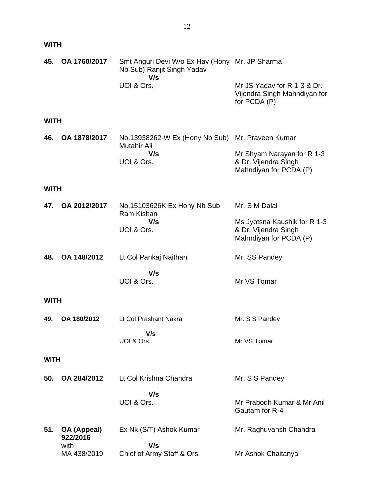| <b>WITH</b> |  |
|-------------|--|
| 45. OA 176  |  |

| 45.         | OA 1760/2017            | Smt Anguri Devi W/o Ex Hav (Hony Mr. JP Sharma<br>Nb Sub) Ranjit Singh Yadav<br>V/s  |                                                                                |  |  |
|-------------|-------------------------|--------------------------------------------------------------------------------------|--------------------------------------------------------------------------------|--|--|
|             |                         | UOI & Ors.                                                                           | Mr JS Yadav for R 1-3 & Dr.<br>Vijendra Singh Mahndiyan for<br>for PCDA (P)    |  |  |
| <b>WITH</b> |                         |                                                                                      |                                                                                |  |  |
| 46.         | OA 1878/2017            | No.13938262-W Ex (Hony Nb Sub) Mr. Praveen Kumar<br>Mutahir Ali<br>V/s<br>UOI & Ors. |                                                                                |  |  |
|             |                         |                                                                                      | Mr Shyam Narayan for R 1-3<br>& Dr. Vijendra Singh<br>Mahndiyan for PCDA (P)   |  |  |
| <b>WITH</b> |                         |                                                                                      |                                                                                |  |  |
| 47.         | OA 2012/2017            | No.15103626K Ex Hony Nb Sub<br>Ram Kishan<br>V/s<br>UOI & Ors.                       | Mr. S M Dalal                                                                  |  |  |
|             |                         |                                                                                      | Ms Jyotsna Kaushik for R 1-3<br>& Dr. Vijendra Singh<br>Mahndiyan for PCDA (P) |  |  |
| 48.         | OA 148/2012             | Lt Col Pankaj Naithani                                                               | Mr. SS Pandey                                                                  |  |  |
|             |                         | V/s<br>UOI & Ors.                                                                    | Mr VS Tomar                                                                    |  |  |
| <b>WITH</b> |                         |                                                                                      |                                                                                |  |  |
| 49.         | OA 180/2012             | Lt Col Prashant Nakra                                                                | Mr. S S Pandey                                                                 |  |  |
|             |                         | V/s<br>UOI & Ors.                                                                    | Mr VS Tomar                                                                    |  |  |
| <b>WITH</b> |                         |                                                                                      |                                                                                |  |  |
| 50.         | OA 284/2012             | Lt Col Krishna Chandra                                                               | Mr. S S Pandey                                                                 |  |  |
|             |                         | V/s<br>UOI & Ors.                                                                    | Mr Prabodh Kumar & Mr Anil<br>Gautam for R-4                                   |  |  |
| 51.         | OA (Appeal)<br>922/2016 | Ex Nk (S/T) Ashok Kumar                                                              | Mr. Raghuvansh Chandra                                                         |  |  |
|             | with<br>MA 438/2019     | V/s<br>Chief of Army Staff & Ors.                                                    | Mr Ashok Chaitanya                                                             |  |  |